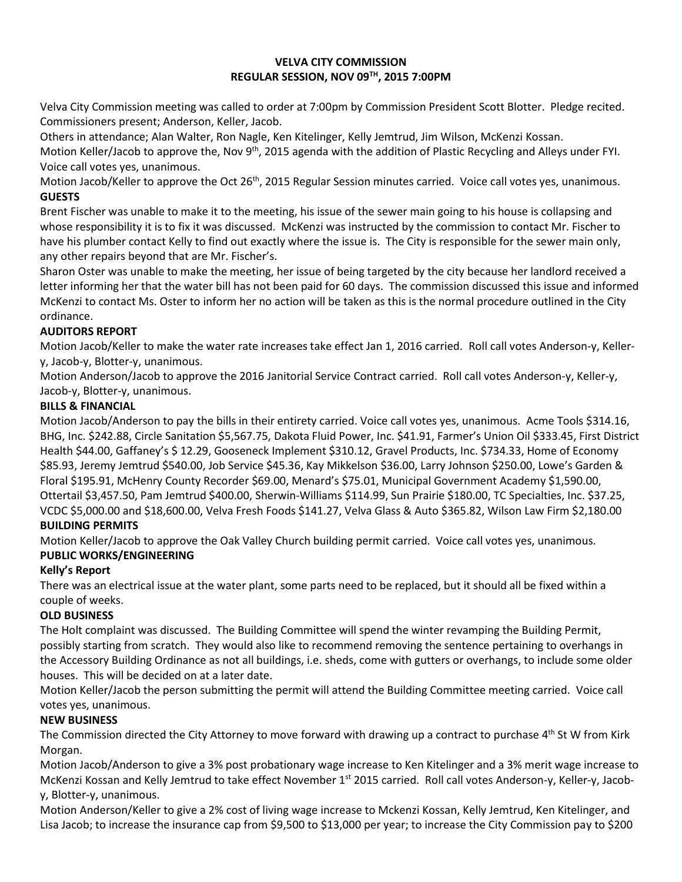#### **VELVA CITY COMMISSION REGULAR SESSION, NOV 09TH, 2015 7:00PM**

Velva City Commission meeting was called to order at 7:00pm by Commission President Scott Blotter. Pledge recited. Commissioners present; Anderson, Keller, Jacob.

Others in attendance; Alan Walter, Ron Nagle, Ken Kitelinger, Kelly Jemtrud, Jim Wilson, McKenzi Kossan. Motion Keller/Jacob to approve the, Nov 9<sup>th</sup>, 2015 agenda with the addition of Plastic Recycling and Alleys under FYI. Voice call votes yes, unanimous.

Motion Jacob/Keller to approve the Oct 26<sup>th</sup>, 2015 Regular Session minutes carried. Voice call votes yes, unanimous. **GUESTS**

Brent Fischer was unable to make it to the meeting, his issue of the sewer main going to his house is collapsing and whose responsibility it is to fix it was discussed. McKenzi was instructed by the commission to contact Mr. Fischer to have his plumber contact Kelly to find out exactly where the issue is. The City is responsible for the sewer main only, any other repairs beyond that are Mr. Fischer's.

Sharon Oster was unable to make the meeting, her issue of being targeted by the city because her landlord received a letter informing her that the water bill has not been paid for 60 days. The commission discussed this issue and informed McKenzi to contact Ms. Oster to inform her no action will be taken as this is the normal procedure outlined in the City ordinance.

# **AUDITORS REPORT**

Motion Jacob/Keller to make the water rate increases take effect Jan 1, 2016 carried. Roll call votes Anderson-y, Kellery, Jacob-y, Blotter-y, unanimous.

Motion Anderson/Jacob to approve the 2016 Janitorial Service Contract carried. Roll call votes Anderson-y, Keller-y, Jacob-y, Blotter-y, unanimous.

### **BILLS & FINANCIAL**

Motion Jacob/Anderson to pay the bills in their entirety carried. Voice call votes yes, unanimous. Acme Tools \$314.16, BHG, Inc. \$242.88, Circle Sanitation \$5,567.75, Dakota Fluid Power, Inc. \$41.91, Farmer's Union Oil \$333.45, First District Health \$44.00, Gaffaney's \$ 12.29, Gooseneck Implement \$310.12, Gravel Products, Inc. \$734.33, Home of Economy \$85.93, Jeremy Jemtrud \$540.00, Job Service \$45.36, Kay Mikkelson \$36.00, Larry Johnson \$250.00, Lowe's Garden & Floral \$195.91, McHenry County Recorder \$69.00, Menard's \$75.01, Municipal Government Academy \$1,590.00, Ottertail \$3,457.50, Pam Jemtrud \$400.00, Sherwin-Williams \$114.99, Sun Prairie \$180.00, TC Specialties, Inc. \$37.25, VCDC \$5,000.00 and \$18,600.00, Velva Fresh Foods \$141.27, Velva Glass & Auto \$365.82, Wilson Law Firm \$2,180.00

# **BUILDING PERMITS**

Motion Keller/Jacob to approve the Oak Valley Church building permit carried. Voice call votes yes, unanimous. **PUBLIC WORKS/ENGINEERING**

#### **Kelly's Report**

There was an electrical issue at the water plant, some parts need to be replaced, but it should all be fixed within a couple of weeks.

# **OLD BUSINESS**

The Holt complaint was discussed. The Building Committee will spend the winter revamping the Building Permit, possibly starting from scratch. They would also like to recommend removing the sentence pertaining to overhangs in the Accessory Building Ordinance as not all buildings, i.e. sheds, come with gutters or overhangs, to include some older houses. This will be decided on at a later date.

Motion Keller/Jacob the person submitting the permit will attend the Building Committee meeting carried. Voice call votes yes, unanimous.

# **NEW BUSINESS**

The Commission directed the City Attorney to move forward with drawing up a contract to purchase 4<sup>th</sup> St W from Kirk Morgan.

Motion Jacob/Anderson to give a 3% post probationary wage increase to Ken Kitelinger and a 3% merit wage increase to McKenzi Kossan and Kelly Jemtrud to take effect November  $1^{st}$  2015 carried. Roll call votes Anderson-y, Keller-y, Jacoby, Blotter-y, unanimous.

Motion Anderson/Keller to give a 2% cost of living wage increase to Mckenzi Kossan, Kelly Jemtrud, Ken Kitelinger, and Lisa Jacob; to increase the insurance cap from \$9,500 to \$13,000 per year; to increase the City Commission pay to \$200